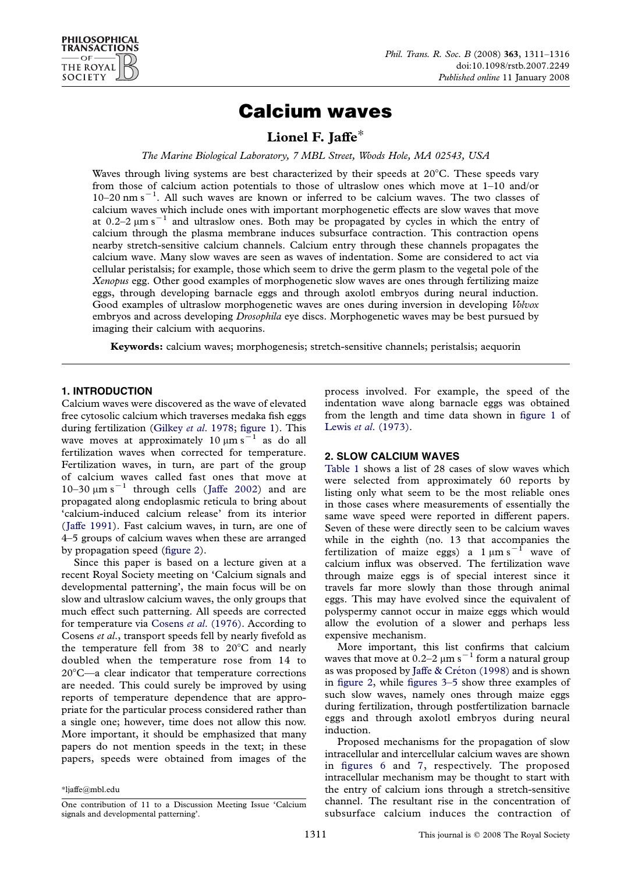# Calcium waves

Lionel F. Jaffe\*

The Marine Biological Laboratory, 7 MBL Street, Woods Hole, MA 02543, USA

Waves through living systems are best characterized by their speeds at  $20^{\circ}$ C. These speeds vary from those of calcium action potentials to those of ultraslow ones which move at 1–10 and/or  $10-20$  nm s<sup>-1</sup>. All such waves are known or inferred to be calcium waves. The two classes of calcium waves which include ones with important morphogenetic effects are slow waves that move at 0.2–2  $\mu$ m s<sup>-1</sup> and ultraslow ones. Both may be propagated by cycles in which the entry of calcium through the plasma membrane induces subsurface contraction. This contraction opens nearby stretch-sensitive calcium channels. Calcium entry through these channels propagates the calcium wave. Many slow waves are seen as waves of indentation. Some are considered to act via cellular peristalsis; for example, those which seem to drive the germ plasm to the vegetal pole of the Xenopus egg. Other good examples of morphogenetic slow waves are ones through fertilizing maize eggs, through developing barnacle eggs and through axolotl embryos during neural induction. Good examples of ultraslow morphogenetic waves are ones during inversion in developing Volvox embryos and across developing *Drosophila* eye discs. Morphogenetic waves may be best pursued by imaging their calcium with aequorins.

Keywords: calcium waves; morphogenesis; stretch-sensitive channels; peristalsis; aequorin

## 1. INTRODUCTION

Calcium waves were discovered as the wave of elevated free cytosolic calcium which traverses medaka fish eggs during fertilization (Gilkey et al[. 1978;](#page-5-0) [figure 1](#page-1-0)). This wave moves at approximately 10  $\mu$ m s<sup>-1</sup> as do all fertilization waves when corrected for temperature. Fertilization waves, in turn, are part of the group of calcium waves called fast ones that move at 10–30  $\mu$ m s<sup>-1</sup> through cells ([Jaffe 2002\)](#page-5-0) and are propagated along endoplasmic reticula to bring about 'calcium-induced calcium release' from its interior ([Jaffe 1991\)](#page-5-0). Fast calcium waves, in turn, are one of 4–5 groups of calcium waves when these are arranged by propagation speed [\(figure 2\)](#page-1-0).

Since this paper is based on a lecture given at a recent Royal Society meeting on 'Calcium signals and developmental patterning', the main focus will be on slow and ultraslow calcium waves, the only groups that much effect such patterning. All speeds are corrected for temperature via Cosens et al[. \(1976\)](#page-4-0). According to Cosens et al., transport speeds fell by nearly fivefold as the temperature fell from 38 to  $20^{\circ}$ C and nearly doubled when the temperature rose from 14 to  $20^{\circ}$ C—a clear indicator that temperature corrections are needed. This could surely be improved by using reports of temperature dependence that are appropriate for the particular process considered rather than a single one; however, time does not allow this now. More important, it should be emphasized that many papers do not mention speeds in the text; in these papers, speeds were obtained from images of the process involved. For example, the speed of the indentation wave along barnacle eggs was obtained from the length and time data shown in [figure 1](#page-1-0) of Lewis et al[. \(1973\).](#page-5-0)

### 2. SLOW CALCIUM WAVES

[Table 1](#page-2-0) shows a list of 28 cases of slow waves which were selected from approximately 60 reports by listing only what seem to be the most reliable ones in those cases where measurements of essentially the same wave speed were reported in different papers. Seven of these were directly seen to be calcium waves while in the eighth (no. 13 that accompanies the fertilization of maize eggs) a  $1 \mu m s^{-1}$  wave of calcium influx was observed. The fertilization wave through maize eggs is of special interest since it travels far more slowly than those through animal eggs. This may have evolved since the equivalent of polyspermy cannot occur in maize eggs which would allow the evolution of a slower and perhaps less expensive mechanism.

More important, this list confirms that calcium waves that move at  $0.2-2 \mu m s^{-1}$  form a natural group as was proposed by Jaffe & Créton (1998) and is shown in [figure 2,](#page-1-0) while [figures 3–5](#page-1-0) show three examples of such slow waves, namely ones through maize eggs during fertilization, through postfertilization barnacle eggs and through axolotl embryos during neural induction.

Proposed mechanisms for the propagation of slow intracellular and intercellular calcium waves are shown in [figures 6](#page-1-0) and [7,](#page-1-0) respectively. The proposed intracellular mechanism may be thought to start with the entry of calcium ions through a stretch-sensitive channel. The resultant rise in the concentration of subsurface calcium induces the contraction of

<sup>\*</sup>ljaffe@mbl.edu

One contribution of 11 to a Discussion Meeting Issue 'Calcium signals and developmental patterning'.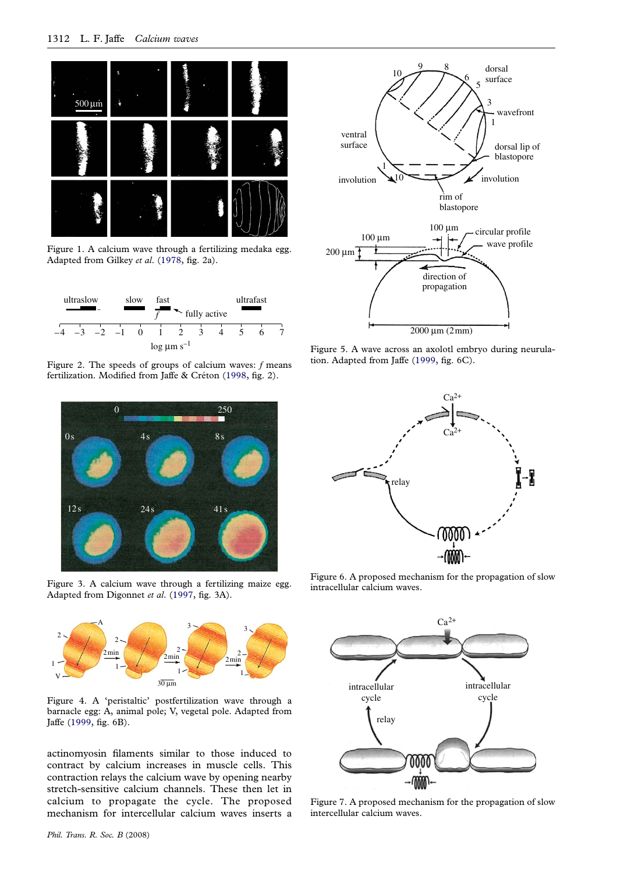<span id="page-1-0"></span>

Figure 1. A calcium wave through a fertilizing medaka egg. Adapted from Gilkey et al. [\(1978,](#page-5-0) fig. 2a).



Figure 2. The speeds of groups of calcium waves:  $f$  means fertilization. Modified from Jaffe & Créton ([1998,](#page-5-0) fig. 2).



Figure 3. A calcium wave through a fertilizing maize egg. Adapted from Digonnet et al. ([1997](#page-4-0), fig. 3A).



Figure 4. A 'peristaltic' postfertilization wave through a barnacle egg: A, animal pole; V, vegetal pole. Adapted from Jaffe [\(1999,](#page-5-0) fig. 6B).

actinomyosin filaments similar to those induced to contract by calcium increases in muscle cells. This contraction relays the calcium wave by opening nearby stretch-sensitive calcium channels. These then let in calcium to propagate the cycle. The proposed mechanism for intercellular calcium waves inserts a



Figure 5. A wave across an axolotl embryo during neurulation. Adapted from Jaffe [\(1999](#page-5-0), fig. 6C).



Figure 6. A proposed mechanism for the propagation of slow intracellular calcium waves.



Figure 7. A proposed mechanism for the propagation of slow intercellular calcium waves.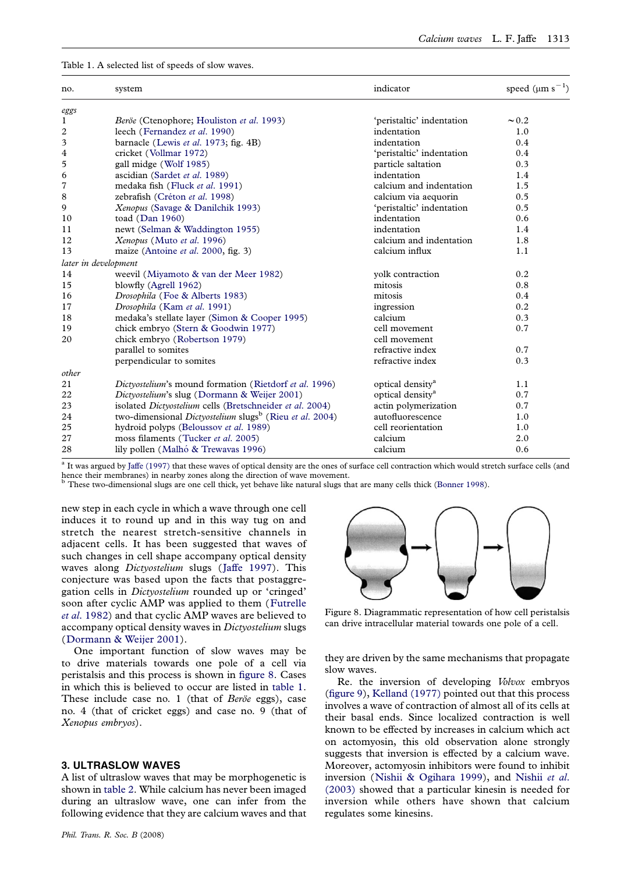<span id="page-2-0"></span>Table 1. A selected list of speeds of slow waves.

| no.            | system                                                                     | indicator                    | speed $(\mu m s^{-1})$ |
|----------------|----------------------------------------------------------------------------|------------------------------|------------------------|
| eggs           |                                                                            |                              |                        |
| 1              | Beröe (Ctenophore; Houliston et al. 1993)                                  | 'peristaltic' indentation    | $\sim 0.2$             |
| $\overline{c}$ | leech (Fernandez et al. 1990)                                              | indentation                  | 1.0                    |
| 3              | barnacle (Lewis et al. 1973; fig. 4B)                                      | indentation                  | 0.4                    |
| 4              | cricket (Vollmar 1972)                                                     | 'peristaltic' indentation    | 0.4                    |
| 5              | gall midge (Wolf 1985)                                                     | particle saltation           | 0.3                    |
| 6              | ascidian (Sardet et al. 1989)                                              | indentation                  | 1.4                    |
| 7              | medaka fish (Fluck et al. 1991)                                            | calcium and indentation      | 1.5                    |
| 8              | zebrafish (Créton et al. 1998)                                             | calcium via aequorin         | 0.5                    |
| 9              | Xenopus (Savage & Danilchik 1993)                                          | 'peristaltic' indentation    | 0.5                    |
| 10             | toad (Dan 1960)                                                            | indentation                  | 0.6                    |
| 11             | newt (Selman & Waddington 1955)                                            | indentation                  | 1.4                    |
| 12             | Xenopus (Muto et al. 1996)                                                 | calcium and indentation      | 1.8                    |
| 13             | maize (Antoine et al. 2000, fig. 3)                                        | calcium influx               | 1.1                    |
|                | later in development                                                       |                              |                        |
| 14             | weevil (Miyamoto & van der Meer 1982)                                      | yolk contraction             | 0.2                    |
| 15             | blowfly (Agrell 1962)                                                      | mitosis                      | 0.8                    |
| 16             | Drosophila (Foe & Alberts 1983)                                            | mitosis                      | 0.4                    |
| 17             | Drosophila (Kam et al. 1991)                                               | ingression                   | 0.2                    |
| 18             | medaka's stellate layer (Simon & Cooper 1995)                              | calcium                      | 0.3                    |
| 19             | chick embryo (Stern & Goodwin 1977)                                        | cell movement                | 0.7                    |
| 20             | chick embryo (Robertson 1979)                                              | cell movement                |                        |
|                | parallel to somites                                                        | refractive index             | 0.7                    |
|                | perpendicular to somites                                                   | refractive index             | 0.3                    |
| other          |                                                                            |                              |                        |
| 21             | Dictyostelium's mound formation (Rietdorf et al. 1996)                     | optical density <sup>a</sup> | 1.1                    |
| 22             | Dictyostelium's slug (Dormann & Weijer 2001)                               | optical density <sup>a</sup> | 0.7                    |
| 23             | isolated Dictyostelium cells (Bretschneider et al. 2004)                   | actin polymerization         | 0.7                    |
| 24             | two-dimensional <i>Dictyostelium</i> slugs <sup>b</sup> (Rieu et al. 2004) | autofluorescence             | 1.0                    |
| 25             | hydroid polyps (Beloussov et al. 1989)                                     | cell reorientation           | 1.0                    |
| 27             | moss filaments (Tucker et al. 2005)                                        | calcium                      | 2.0                    |
| 28             | lily pollen (Malhó & Trewavas 1996)                                        | calcium                      | 0.6                    |

<sup>a</sup> It was argued by [Jaffe \(1997\)](#page-5-0) that these waves of optical density are the ones of surface cell contraction which would stretch surface cells (and hence their membranes) in nearby zones along the direction of wave movement.

<sup>b</sup> These two-dimensional slugs are one cell thick, yet behave like natural slugs that are many cells thick ([Bonner 1998](#page-4-0)).

new step in each cycle in which a wave through one cell induces it to round up and in this way tug on and stretch the nearest stretch-sensitive channels in adjacent cells. It has been suggested that waves of such changes in cell shape accompany optical density waves along Dictyostelium slugs ([Jaffe 1997](#page-5-0)). This conjecture was based upon the facts that postaggregation cells in Dictyostelium rounded up or 'cringed' soon after cyclic AMP was applied to them ([Futrelle](#page-5-0) et al[. 1982](#page-5-0)) and that cyclic AMP waves are believed to accompany optical density waves in Dictyostelium slugs ([Dormann & Weijer 2001\)](#page-4-0).

One important function of slow waves may be to drive materials towards one pole of a cell via peristalsis and this process is shown in figure 8. Cases in which this is believed to occur are listed in table 1. These include case no. 1 (that of  $Ber\ddot{o}e$  eggs), case no. 4 (that of cricket eggs) and case no. 9 (that of Xenopus embryos).

#### 3. ULTRASLOW WAVES

A list of ultraslow waves that may be morphogenetic is shown in [table 2](#page-4-0). While calcium has never been imaged during an ultraslow wave, one can infer from the following evidence that they are calcium waves and that



Figure 8. Diagrammatic representation of how cell peristalsis can drive intracellular material towards one pole of a cell.

they are driven by the same mechanisms that propagate slow waves.

Re. the inversion of developing Volvox embryos [\(figure 9\)](#page-3-0), [Kelland \(1977\)](#page-5-0) pointed out that this process involves a wave of contraction of almost all of its cells at their basal ends. Since localized contraction is well known to be effected by increases in calcium which act on actomyosin, this old observation alone strongly suggests that inversion is effected by a calcium wave. Moreover, actomyosin inhibitors were found to inhibit inversion ([Nishii & Ogihara 1999\)](#page-5-0), and [Nishii](#page-5-0) et al. [\(2003\)](#page-5-0) showed that a particular kinesin is needed for inversion while others have shown that calcium regulates some kinesins.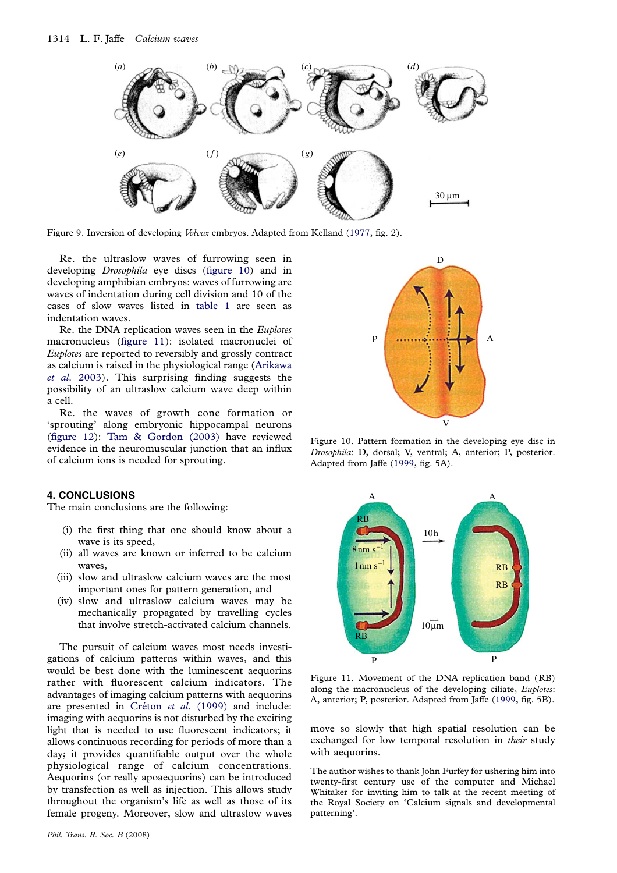<span id="page-3-0"></span>

Figure 9. Inversion of developing *Volvox* embryos. Adapted from Kelland [\(1977,](#page-5-0) fig. 2).

Re. the ultraslow waves of furrowing seen in developing *Drosophila* eye discs (figure 10) and in developing amphibian embryos: waves of furrowing are waves of indentation during cell division and 10 of the cases of slow waves listed in [table 1](#page-2-0) are seen as indentation waves.

Re. the DNA replication waves seen in the Euplotes macronucleus (figure 11): isolated macronuclei of Euplotes are reported to reversibly and grossly contract as calcium is raised in the physiological range ([Arikawa](#page-4-0) et al[. 2003\)](#page-4-0). This surprising finding suggests the possibility of an ultraslow calcium wave deep within a cell.

Re. the waves of growth cone formation or 'sprouting' along embryonic hippocampal neurons [\(figure 12\)](#page-4-0): [Tam & Gordon \(2003\)](#page-5-0) have reviewed evidence in the neuromuscular junction that an influx of calcium ions is needed for sprouting.

#### 4. CONCLUSIONS

The main conclusions are the following:

- (i) the first thing that one should know about a wave is its speed,
- (ii) all waves are known or inferred to be calcium waves,
- (iii) slow and ultraslow calcium waves are the most important ones for pattern generation, and
- (iv) slow and ultraslow calcium waves may be mechanically propagated by travelling cycles that involve stretch-activated calcium channels.

The pursuit of calcium waves most needs investigations of calcium patterns within waves, and this would be best done with the luminescent aequorins rather with fluorescent calcium indicators. The advantages of imaging calcium patterns with aequorins are presented in Créton et al[. \(1999\)](#page-4-0) and include: imaging with aequorins is not disturbed by the exciting light that is needed to use fluorescent indicators; it allows continuous recording for periods of more than a day; it provides quantifiable output over the whole physiological range of calcium concentrations. Aequorins (or really apoaequorins) can be introduced by transfection as well as injection. This allows study throughout the organism's life as well as those of its female progeny. Moreover, slow and ultraslow waves



Figure 10. Pattern formation in the developing eye disc in Drosophila: D, dorsal; V, ventral; A, anterior; P, posterior. Adapted from Jaffe ([1999](#page-5-0), fig. 5A).



Figure 11. Movement of the DNA replication band (RB) along the macronucleus of the developing ciliate, Euplotes: A, anterior; P, posterior. Adapted from Jaffe ([1999](#page-5-0), fig. 5B).

move so slowly that high spatial resolution can be exchanged for low temporal resolution in their study with aequorins.

The author wishes to thank John Furfey for ushering him into twenty-first century use of the computer and Michael Whitaker for inviting him to talk at the recent meeting of the Royal Society on 'Calcium signals and developmental patterning'.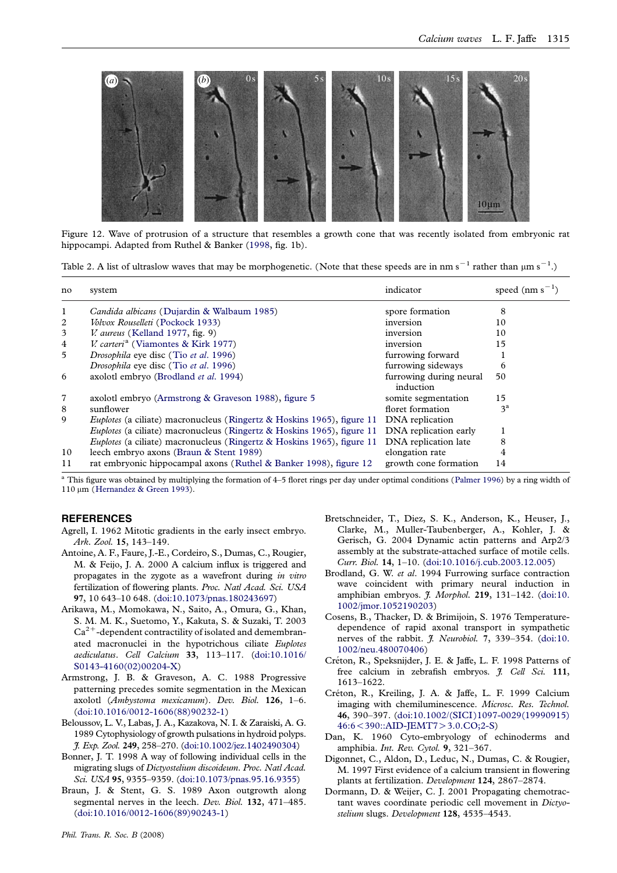<span id="page-4-0"></span>

Figure 12. Wave of protrusion of a structure that resembles a growth cone that was recently isolated from embryonic rat hippocampi. Adapted from Ruthel & Banker [\(1998](#page-5-0), fig. 1b).

Table 2. A list of ultraslow waves that may be morphogenetic. (Note that these speeds are in nm s<sup>-1</sup> rather than  $\mu$ m s<sup>-1</sup>.)

| no | system                                                                        | indicator                            | speed $(nm s^{-1})$ |
|----|-------------------------------------------------------------------------------|--------------------------------------|---------------------|
| 1  | <i>Candida albicans</i> (Dujardin & Walbaum 1985)                             | spore formation                      | 8                   |
| 2  | Volvox Rouselleti (Pockock 1933)                                              | inversion                            | 10                  |
| 3  | <i>V. aureus</i> (Kelland 1977, fig. 9)                                       | inversion                            | 10                  |
| 4  | <i>V. carteri<sup>a</sup></i> (Viamontes & Kirk 1977)                         | inversion                            | 15                  |
| 5  | <i>Drosophila</i> eye disc (Tio et al. 1996)                                  | furrowing forward                    |                     |
|    | Drosophila eye disc (Tio et al. 1996)                                         | furrowing sideways                   | 6                   |
| 6  | axolotl embryo (Brodland et al. 1994)                                         | furrowing during neural<br>induction | 50                  |
| 7  | axolotl embryo (Armstrong & Graveson 1988), figure 5                          | somite segmentation                  | 15                  |
| 8  | sunflower                                                                     | floret formation                     | 3 <sup>a</sup>      |
| 9  | Euplotes (a ciliate) macronucleus (Ringertz & Hoskins 1965), figure 11        | DNA replication                      |                     |
|    | <i>Euplotes</i> (a ciliate) macronucleus (Ringertz & Hoskins 1965), figure 11 | DNA replication early                |                     |
|    | <i>Euplotes</i> (a ciliate) macronucleus (Ringertz & Hoskins 1965), figure 11 | DNA replication late                 | 8                   |
| 10 | leech embryo axons (Braun & Stent 1989)                                       | elongation rate                      |                     |
| 11 | rat embryonic hippocampal axons (Ruthel & Banker 1998), figure 12             | growth cone formation                | 14                  |

<sup>a</sup> This figure was obtained by multiplying the formation of 4–5 floret rings per day under optimal conditions ([Palmer 1996\)](#page-5-0) by a ring width of 110 μm ([Hernandez & Green 1993\)](#page-5-0).

#### **REFERENCES**

Agrell, I. 1962 Mitotic gradients in the early insect embryo. Ark. Zool. 15, 143–149.

- Antoine, A. F., Faure, J.-E., Cordeiro, S., Dumas, C., Rougier, M. & Feijo, J. A. 2000 A calcium influx is triggered and propagates in the zygote as a wavefront during in vitro fertilization of flowering plants. Proc. Natl Acad. Sci. USA 97, 10 643–10 648. [\(doi:10.1073/pnas.180243697\)](http://dx.doi.org/doi:10.1073/pnas.180243697)
- Arikawa, M., Momokawa, N., Saito, A., Omura, G., Khan, S. M. M. K., Suetomo, Y., Kakuta, S. & Suzaki, T. 2003  $Ca^{2+}$ -dependent contractility of isolated and demembranated macronuclei in the hypotrichous ciliate Euplotes aediculatus. Cell Calcium 33, 113–117. ([doi:10.1016/](http://dx.doi.org/doi:10.1016/S0143-4160(02)00204-X) [S0143-4160\(02\)00204-X](http://dx.doi.org/doi:10.1016/S0143-4160(02)00204-X))
- Armstrong, J. B. & Graveson, A. C. 1988 Progressive patterning precedes somite segmentation in the Mexican axolotl (Ambystoma mexicanum). Dev. Biol. 126, 1–6. ([doi:10.1016/0012-1606\(88\)90232-1](http://dx.doi.org/doi:10.1016/0012-1606(88)90232-1))
- Beloussov, L. V., Labas, J. A., Kazakova, N. I. & Zaraiski, A. G. 1989 Cytophysiology of growth pulsations in hydroid polyps. J. Exp. Zool. 249, 258–270. ([doi:10.1002/jez.1402490304\)](http://dx.doi.org/doi:10.1002/jez.1402490304)
- Bonner, J. T. 1998 A way of following individual cells in the migrating slugs of Dictyostelium discoideum. Proc. Natl Acad. Sci. USA 95, 9355–9359. [\(doi:10.1073/pnas.95.16.9355](http://dx.doi.org/doi:10.1073/pnas.95.16.9355))
- Braun, J. & Stent, G. S. 1989 Axon outgrowth along segmental nerves in the leech. Dev. Biol. 132, 471-485. ([doi:10.1016/0012-1606\(89\)90243-1](http://dx.doi.org/doi:10.1016/0012-1606(89)90243-1))
- Bretschneider, T., Diez, S. K., Anderson, K., Heuser, J., Clarke, M., Muller-Taubenberger, A., Kohler, J. & Gerisch, G. 2004 Dynamic actin patterns and Arp2/3 assembly at the substrate-attached surface of motile cells. Curr. Biol. 14, 1–10. [\(doi:10.1016/j.cub.2003.12.005](http://dx.doi.org/doi:10.1016/j.cub.2003.12.005))
- Brodland, G. W. et al. 1994 Furrowing surface contraction wave coincident with primary neural induction in amphibian embryos. *J. Morphol.* 219, 131-142. ([doi:10.](http://dx.doi.org/doi:10.1002/jmor.1052190203) [1002/jmor.1052190203\)](http://dx.doi.org/doi:10.1002/jmor.1052190203)
- Cosens, B., Thacker, D. & Brimijoin, S. 1976 Temperaturedependence of rapid axonal transport in sympathetic nerves of the rabbit. *J. Neurobiol.* 7, 339-354. ([doi:10.](http://dx.doi.org/doi:10.1002/neu.480070406) [1002/neu.480070406](http://dx.doi.org/doi:10.1002/neu.480070406))
- Créton, R., Speksnijder, J. E. & Jaffe, L. F. 1998 Patterns of free calcium in zebrafish embryos. *J. Cell Sci.* 111, 1613–1622.
- Créton, R., Kreiling, J. A. & Jaffe, L. F. 1999 Calcium imaging with chemiluminescence. Microsc. Res. Technol. 46, 390–397. [\(doi:10.1002/\(SICI\)1097-0029\(19990915\)](http://dx.doi.org/doi:10.1002/(SICI)1097-0029(19990915)46:6%3C390::AID-JEMT7%3E3.0.CO;2-S) 46:6<[390::AID-JEMT7](http://dx.doi.org/doi:10.1002/(SICI)1097-0029(19990915)46:6%3C390::AID-JEMT7%3E3.0.CO;2-S)>3.0.CO;2-S)
- Dan, K. 1960 Cyto-embryology of echinoderms and amphibia. Int. Rev. Cytol. 9, 321–367.
- Digonnet, C., Aldon, D., Leduc, N., Dumas, C. & Rougier, M. 1997 First evidence of a calcium transient in flowering plants at fertilization. Development 124, 2867–2874.
- Dormann, D. & Weijer, C. J. 2001 Propagating chemotractant waves coordinate periodic cell movement in Dictyostelium slugs. Development 128, 4535-4543.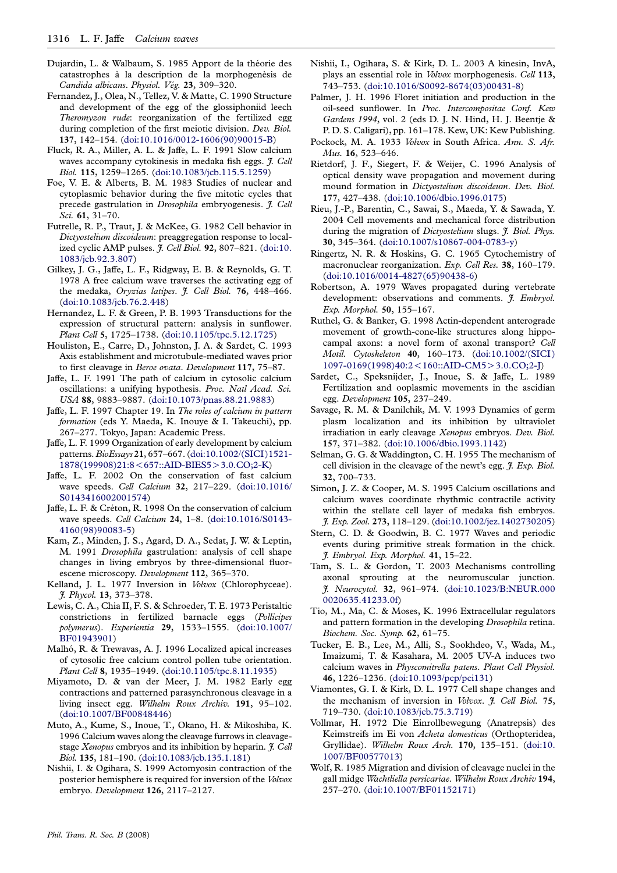- <span id="page-5-0"></span>Dujardin, L. & Walbaum, S. 1985 Apport de la théorie des catastrophes à la description de la morphogenèsis de Candida albicans. Physiol. Vég. 23, 309-320.
- Fernandez, J., Olea, N., Tellez, V. & Matte, C. 1990 Structure and development of the egg of the glossiphoniid leech Theromyzon rude: reorganization of the fertilized egg during completion of the first meiotic division. Dev. Biol. 137, 142–154. ([doi:10.1016/0012-1606\(90\)90015-B](http://dx.doi.org/doi:10.1016/0012-1606(90)90015-B))
- Fluck, R. A., Miller, A. L. & Jaffe, L. F. 1991 Slow calcium waves accompany cytokinesis in medaka fish eggs. *J. Cell* Biol. 115, 1259–1265. ([doi:10.1083/jcb.115.5.1259](http://dx.doi.org/doi:10.1083/jcb.115.5.1259))
- Foe, V. E. & Alberts, B. M. 1983 Studies of nuclear and cytoplasmic behavior during the five mitotic cycles that precede gastrulation in Drosophila embryogenesis. J. Cell Sci. 61, 31–70.
- Futrelle, R. P., Traut, J. & McKee, G. 1982 Cell behavior in Dictyostelium discoideum: preaggregation response to localized cyclic AMP pulses. *J. Cell Biol.* 92, 807-821. ([doi:10.](http://dx.doi.org/doi:10.1083/jcb.92.3.807) [1083/jcb.92.3.807](http://dx.doi.org/doi:10.1083/jcb.92.3.807))
- Gilkey, J. G., Jaffe, L. F., Ridgway, E. B. & Reynolds, G. T. 1978 A free calcium wave traverses the activating egg of the medaka, Oryzias latipes. J. Cell Biol. 76, 448-466. ([doi:10.1083/jcb.76.2.448](http://dx.doi.org/doi:10.1083/jcb.76.2.448))
- Hernandez, L. F. & Green, P. B. 1993 Transductions for the expression of structural pattern: analysis in sunflower. Plant Cell 5, 1725–1738. [\(doi:10.1105/tpc.5.12.1725\)](http://dx.doi.org/doi:10.1105/tpc.5.12.1725)
- Houliston, E., Carre, D., Johnston, J. A. & Sardet, C. 1993 Axis establishment and microtubule-mediated waves prior to first cleavage in Beroe ovata. Development 117, 75-87.
- Jaffe, L. F. 1991 The path of calcium in cytosolic calcium oscillations: a unifying hypothesis. Proc. Natl Acad. Sci. USA 88, 9883–9887. [\(doi:10.1073/pnas.88.21.9883\)](http://dx.doi.org/doi:10.1073/pnas.88.21.9883)
- Jaffe, L. F. 1997 Chapter 19. In The roles of calcium in pattern formation (eds Y. Maeda, K. Inouye & I. Takeuchi), pp. 267–277. Tokyo, Japan: Academic Press.
- Jaffe, L. F. 1999 Organization of early development by calcium patterns.BioEssays 21, 657–667. ([doi:10.1002/\(SICI\)1521-](http://dx.doi.org/doi:10.1002/(SICI)1521-1878(199908)21:8%3C657::AID-BIES5%3E3.0.CO;2-K) [1878\(199908\)21:8](http://dx.doi.org/doi:10.1002/(SICI)1521-1878(199908)21:8%3C657::AID-BIES5%3E3.0.CO;2-K)<657::AID-BIES5>3.0.CO;2-K)
- Jaffe, L. F. 2002 On the conservation of fast calcium wave speeds. Cell Calcium 32, 217–229. ([doi:10.1016/](http://dx.doi.org/doi:10.1016/S0143416002001574) [S0143416002001574\)](http://dx.doi.org/doi:10.1016/S0143416002001574)
- Jaffe, L. F. & Créton, R. 1998 On the conservation of calcium wave speeds. Cell Calcium 24, 1–8. [\(doi:10.1016/S0143-](http://dx.doi.org/doi:10.1016/S0143-4160(98)90083-5) [4160\(98\)90083-5\)](http://dx.doi.org/doi:10.1016/S0143-4160(98)90083-5)
- Kam, Z., Minden, J. S., Agard, D. A., Sedat, J. W. & Leptin, M. 1991 Drosophila gastrulation: analysis of cell shape changes in living embryos by three-dimensional fluorescene microscopy. Development 112, 365–370.
- Kelland, J. L. 1977 Inversion in Volvox (Chlorophyceae). J. Phycol. 13, 373–378.
- Lewis, C. A., Chia II, F. S. & Schroeder, T. E. 1973 Peristaltic constrictions in fertilized barnacle eggs (Pollicipes polymerus). Experientia 29, 1533–1555. ([doi:10.1007/](http://dx.doi.org/doi:10.1007/BF01943901) [BF01943901\)](http://dx.doi.org/doi:10.1007/BF01943901)
- Malhó, R. & Trewavas, A. J. 1996 Localized apical increases of cytosolic free calcium control pollen tube orientation. Plant Cell 8, 1935-1949. [\(doi:10.1105/tpc.8.11.1935\)](http://dx.doi.org/doi:10.1105/tpc.8.11.1935)
- Miyamoto, D. & van der Meer, J. M. 1982 Early egg contractions and patterned parasynchronous cleavage in a living insect egg. Wilhelm Roux Archiv. 191, 95-102. ([doi:10.1007/BF00848446](http://dx.doi.org/doi:10.1007/BF00848446))
- Muto, A., Kume, S., Inoue, T., Okano, H. & Mikoshiba, K. 1996 Calcium waves along the cleavage furrows in cleavagestage Xenopus embryos and its inhibition by heparin. 7. Cell Biol. 135, 181–190. [\(doi:10.1083/jcb.135.1.181](http://dx.doi.org/doi:10.1083/jcb.135.1.181))
- Nishii, I. & Ogihara, S. 1999 Actomyosin contraction of the posterior hemisphere is required for inversion of the Volvox embryo. Development 126, 2117–2127.
- Nishii, I., Ogihara, S. & Kirk, D. L. 2003 A kinesin, InvA, plays an essential role in *Volvox* morphogenesis. Cell 113, 743–753. [\(doi:10.1016/S0092-8674\(03\)00431-8](http://dx.doi.org/doi:10.1016/S0092-8674(03)00431-8))
- Palmer, J. H. 1996 Floret initiation and production in the oil-seed sunflower. In Proc. Intercompositae Conf. Kew Gardens 1994, vol. 2 (eds D. J. N. Hind, H. J. Beentje & P. D. S. Caligari), pp. 161–178. Kew, UK: Kew Publishing.
- Pockock, M. A. 1933 Volvox in South Africa. Ann. S. Afr. Mus. 16, 523–646.
- Rietdorf, J. F., Siegert, F. & Weijer, C. 1996 Analysis of optical density wave propagation and movement during mound formation in Dictyostelium discoideum. Dev. Biol. 177, 427–438. ([doi:10.1006/dbio.1996.0175](http://dx.doi.org/doi:10.1006/dbio.1996.0175))
- Rieu, J.-P., Barentin, C., Sawai, S., Maeda, Y. & Sawada, Y. 2004 Cell movements and mechanical force distribution during the migration of Dictyostelium slugs. *J. Biol. Phys.* 30, 345–364. ([doi:10.1007/s10867-004-0783-y\)](http://dx.doi.org/doi:10.1007/s10867-004-0783-y)
- Ringertz, N. R. & Hoskins, G. C. 1965 Cytochemistry of macronuclear reorganization. Exp. Cell Res. 38, 160–179. ([doi:10.1016/0014-4827\(65\)90438-6](http://dx.doi.org/doi:10.1016/0014-4827(65)90438-6))
- Robertson, A. 1979 Waves propagated during vertebrate development: observations and comments. J. Embryol. Exp. Morphol. 50, 155–167.
- Ruthel, G. & Banker, G. 1998 Actin-dependent anterograde movement of growth-cone-like structures along hippocampal axons: a novel form of axonal transport? Cell Motil. Cytoskeleton 40, 160–173. ([doi:10.1002/\(SICI\)](http://dx.doi.org/doi:10.1002/(SICI)1097-0169(1998)40:2%3C160::AID-CM5%3E3.0.CO;2-J)  $1097-0169(1998)40:2 < 160::AID-CM5 > 3.0.CO;2-J)$  $1097-0169(1998)40:2 < 160::AID-CM5 > 3.0.CO;2-J)$
- Sardet, C., Speksnijder, J., Inoue, S. & Jaffe, L. 1989 Fertilization and ooplasmic movements in the ascidian egg. Development 105, 237–249.
- Savage, R. M. & Danilchik, M. V. 1993 Dynamics of germ plasm localization and its inhibition by ultraviolet irradiation in early cleavage Xenopus embryos. Dev. Biol. 157, 371–382. ([doi:10.1006/dbio.1993.1142](http://dx.doi.org/doi:10.1006/dbio.1993.1142))
- Selman, G. G. & Waddington, C. H. 1955 The mechanism of cell division in the cleavage of the newt's egg.  $\mathfrak{F}$ . Exp. Biol. 32, 700–733.
- Simon, J. Z. & Cooper, M. S. 1995 Calcium oscillations and calcium waves coordinate rhythmic contractile activity within the stellate cell layer of medaka fish embryos. J. Exp. Zool. 273, 118–129. ([doi:10.1002/jez.1402730205](http://dx.doi.org/doi:10.1002/jez.1402730205))
- Stern, C. D. & Goodwin, B. C. 1977 Waves and periodic events during primitive streak formation in the chick. J. Embryol. Exp. Morphol. 41, 15–22.
- Tam, S. L. & Gordon, T. 2003 Mechanisms controlling axonal sprouting at the neuromuscular junction. J. Neurocytol. 32, 961–974. ([doi:10.1023/B:NEUR.000](http://dx.doi.org/doi:10.1023/B:NEUR.0000020635.41233.0f) [0020635.41233.0f\)](http://dx.doi.org/doi:10.1023/B:NEUR.0000020635.41233.0f)
- Tio, M., Ma, C. & Moses, K. 1996 Extracellular regulators and pattern formation in the developing Drosophila retina. Biochem. Soc. Symp. 62, 61–75.
- Tucker, E. B., Lee, M., Alli, S., Sookhdeo, V., Wada, M., Imaizumi, T. & Kasahara, M. 2005 UV-A induces two calcium waves in Physcomitrella patens. Plant Cell Physiol. 46, 1226–1236. ([doi:10.1093/pcp/pci131](http://dx.doi.org/doi:10.1093/pcp/pci131))
- Viamontes, G. I. & Kirk, D. L. 1977 Cell shape changes and the mechanism of inversion in Volvox. J. Cell Biol. 75, 719–730. [\(doi:10.1083/jcb.75.3.719\)](http://dx.doi.org/doi:10.1083/jcb.75.3.719)
- Vollmar, H. 1972 Die Einrollbewegung (Anatrepsis) des Keimstreifs im Ei von Acheta domesticus (Orthopteridea, Gryllidae). Wilhelm Roux Arch. 170, 135–151. ([doi:10.](http://dx.doi.org/doi:10.1007/BF00577013) [1007/BF00577013](http://dx.doi.org/doi:10.1007/BF00577013))
- Wolf, R. 1985 Migration and division of cleavage nuclei in the gall midge Wachtliella persicariae. Wilhelm Roux Archiv 194, 257–270. [\(doi:10.1007/BF01152171\)](http://dx.doi.org/doi:10.1007/BF01152171)